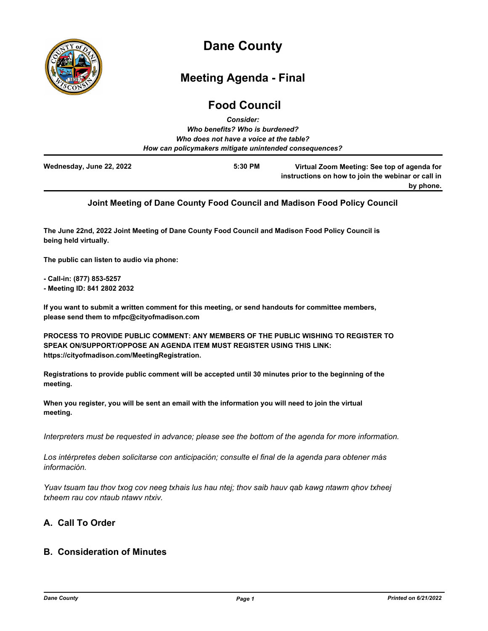

# **Dane County**

## **Meeting Agenda - Final**

## **Food Council** *Consider:*

| ---------                                              |                                                                                                   |
|--------------------------------------------------------|---------------------------------------------------------------------------------------------------|
| Who benefits? Who is burdened?                         |                                                                                                   |
| Who does not have a voice at the table?                |                                                                                                   |
| How can policymakers mitigate unintended consequences? |                                                                                                   |
| 5:30 PM                                                | Virtual Zoom Meeting: See top of agenda for<br>instructions on how to join the webinar or call in |
|                                                        | by phone.                                                                                         |
|                                                        |                                                                                                   |

## **Joint Meeting of Dane County Food Council and Madison Food Policy Council**

**The June 22nd, 2022 Joint Meeting of Dane County Food Council and Madison Food Policy Council is being held virtually.**

**The public can listen to audio via phone:**

**- Call-in: (877) 853-5257**

**- Meeting ID: 841 2802 2032** 

**If you want to submit a written comment for this meeting, or send handouts for committee members, please send them to mfpc@cityofmadison.com**

**PROCESS TO PROVIDE PUBLIC COMMENT: ANY MEMBERS OF THE PUBLIC WISHING TO REGISTER TO SPEAK ON/SUPPORT/OPPOSE AN AGENDA ITEM MUST REGISTER USING THIS LINK: https://cityofmadison.com/MeetingRegistration.**

**Registrations to provide public comment will be accepted until 30 minutes prior to the beginning of the meeting.**

**When you register, you will be sent an email with the information you will need to join the virtual meeting.**

*Interpreters must be requested in advance; please see the bottom of the agenda for more information.*

*Los intérpretes deben solicitarse con anticipación; consulte el final de la agenda para obtener más información.*

*Yuav tsuam tau thov txog cov neeg txhais lus hau ntej; thov saib hauv qab kawg ntawm qhov txheej txheem rau cov ntaub ntawv ntxiv.*

## **A. Call To Order**

## **B. Consideration of Minutes**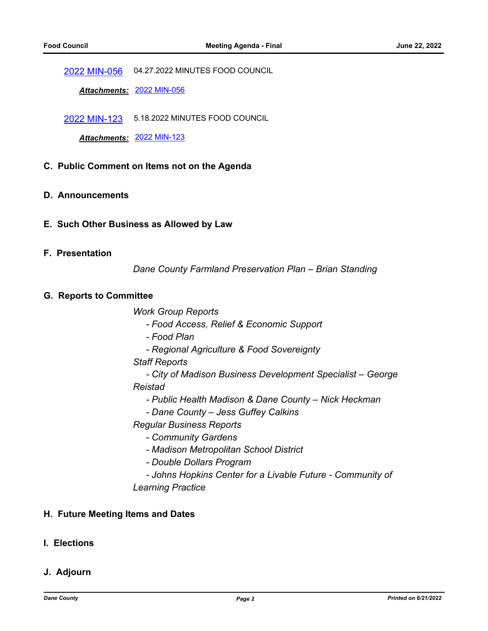[2022 MIN-056](http://dane.legistar.com/gateway.aspx?m=l&id=/matter.aspx?key=22879) 04.27.2022 MINUTES FOOD COUNCIL

*Attachments:* [2022 MIN-056](http://dane.legistar.com/gateway.aspx?M=F&ID=e8e74632-a321-4645-b615-b3e60b4be056.pdf)

[2022 MIN-123](http://dane.legistar.com/gateway.aspx?m=l&id=/matter.aspx?key=23109) 5.18.2022 MINUTES FOOD COUNCIL

*Attachments:* [2022 MIN-123](http://dane.legistar.com/gateway.aspx?M=F&ID=aa65d0ff-a4c5-497d-9978-ebc509b17baa.pdf)

#### **C. Public Comment on Items not on the Agenda**

- **D. Announcements**
- **E. Such Other Business as Allowed by Law**

#### **F. Presentation**

*Dane County Farmland Preservation Plan – Brian Standing*

#### **G. Reports to Committee**

*Work Group Reports*

- *Food Access, Relief & Economic Support*
- *Food Plan*
- *Regional Agriculture & Food Sovereignty*

*Staff Reports*

 *- City of Madison Business Development Specialist – George Reistad*

- *Public Health Madison & Dane County Nick Heckman*
- *Dane County Jess Guffey Calkins*

*Regular Business Reports*

- *Community Gardens*
- *Madison Metropolitan School District*
- *Double Dollars Program*
- *Johns Hopkins Center for a Livable Future Community of Learning Practice*

#### **H. Future Meeting Items and Dates**

### **I. Elections**

#### **J. Adjourn**